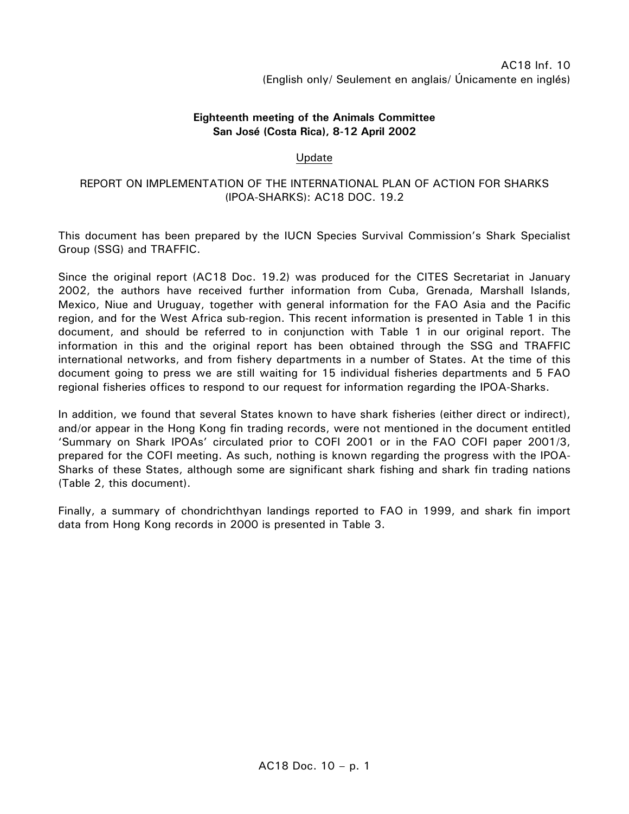## **Eighteenth meeting of the Animals Committee San José (Costa Rica), 8-12 April 2002**

## Update

## REPORT ON IMPLEMENTATION OF THE INTERNATIONAL PLAN OF ACTION FOR SHARKS (IPOA-SHARKS): AC18 DOC. 19.2

This document has been prepared by the IUCN Species Survival Commission's Shark Specialist Group (SSG) and TRAFFIC.

Since the original report (AC18 Doc. 19.2) was produced for the CITES Secretariat in January 2002, the authors have received further information from Cuba, Grenada, Marshall Islands, Mexico, Niue and Uruguay, together with general information for the FAO Asia and the Pacific region, and for the West Africa sub-region. This recent information is presented in Table 1 in this document, and should be referred to in conjunction with Table 1 in our original report. The information in this and the original report has been obtained through the SSG and TRAFFIC international networks, and from fishery departments in a number of States. At the time of this document going to press we are still waiting for 15 individual fisheries departments and 5 FAO regional fisheries offices to respond to our request for information regarding the IPOA-Sharks.

In addition, we found that several States known to have shark fisheries (either direct or indirect), and/or appear in the Hong Kong fin trading records, were not mentioned in the document entitled 'Summary on Shark IPOAs' circulated prior to COFI 2001 or in the FAO COFI paper 2001/3, prepared for the COFI meeting. As such, nothing is known regarding the progress with the IPOA-Sharks of these States, although some are significant shark fishing and shark fin trading nations (Table 2, this document).

Finally, a summary of chondrichthyan landings reported to FAO in 1999, and shark fin import data from Hong Kong records in 2000 is presented in Table 3.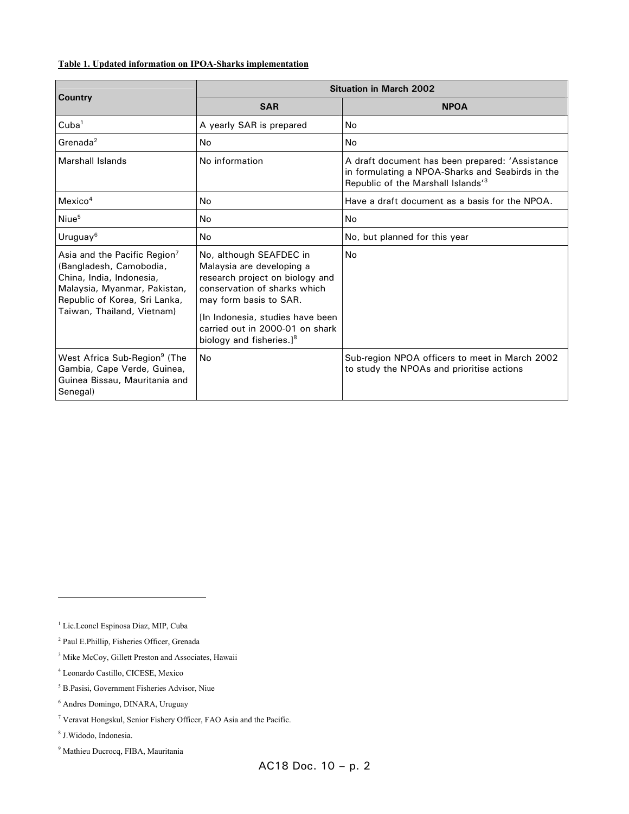## **Table 1. Updated information on IPOA-Sharks implementation**

| <b>Country</b>                                                                                                                                                                     | <b>Situation in March 2002</b>                                                                                                                                                                                                                                    |                                                                                                                                                       |  |  |
|------------------------------------------------------------------------------------------------------------------------------------------------------------------------------------|-------------------------------------------------------------------------------------------------------------------------------------------------------------------------------------------------------------------------------------------------------------------|-------------------------------------------------------------------------------------------------------------------------------------------------------|--|--|
|                                                                                                                                                                                    | <b>SAR</b>                                                                                                                                                                                                                                                        | <b>NPOA</b>                                                                                                                                           |  |  |
| Cuba <sup>1</sup>                                                                                                                                                                  | A yearly SAR is prepared                                                                                                                                                                                                                                          | No                                                                                                                                                    |  |  |
| $G$ renada $2$                                                                                                                                                                     | No                                                                                                                                                                                                                                                                | No                                                                                                                                                    |  |  |
| Marshall Islands                                                                                                                                                                   | No information                                                                                                                                                                                                                                                    | A draft document has been prepared: 'Assistance<br>in formulating a NPOA-Sharks and Seabirds in the<br>Republic of the Marshall Islands <sup>73</sup> |  |  |
| Mexico <sup>4</sup>                                                                                                                                                                | No                                                                                                                                                                                                                                                                | Have a draft document as a basis for the NPOA.                                                                                                        |  |  |
| Niue <sup>5</sup>                                                                                                                                                                  | No                                                                                                                                                                                                                                                                | No                                                                                                                                                    |  |  |
| Uruguay <sup>6</sup>                                                                                                                                                               | N <sub>o</sub>                                                                                                                                                                                                                                                    | No, but planned for this year                                                                                                                         |  |  |
| Asia and the Pacific Region'<br>(Bangladesh, Camobodia,<br>China, India, Indonesia,<br>Malaysia, Myanmar, Pakistan,<br>Republic of Korea, Sri Lanka,<br>Taiwan, Thailand, Vietnam) | No, although SEAFDEC in<br>Malaysia are developing a<br>research project on biology and<br>conservation of sharks which<br>may form basis to SAR.<br>[In Indonesia, studies have been]<br>carried out in 2000-01 on shark<br>biology and fisheries.] <sup>8</sup> | No                                                                                                                                                    |  |  |
| West Africa Sub-Region <sup>9</sup> (The<br>Gambia, Cape Verde, Guinea,<br>Guinea Bissau, Mauritania and<br>Senegal)                                                               | No                                                                                                                                                                                                                                                                | Sub-region NPOA officers to meet in March 2002<br>to study the NPOAs and prioritise actions                                                           |  |  |

<sup>&</sup>lt;sup>1</sup> Lic.Leonel Espinosa Diaz, MIP, Cuba

<sup>2</sup> Paul E.Phillip, Fisheries Officer, Grenada

<sup>&</sup>lt;sup>3</sup> Mike McCoy, Gillett Preston and Associates, Hawaii

<sup>4</sup> Leonardo Castillo, CICESE, Mexico

<sup>5</sup> B.Pasisi, Government Fisheries Advisor, Niue

<sup>6</sup> Andres Domingo, DINARA, Uruguay

<sup>7</sup> Veravat Hongskul, Senior Fishery Officer, FAO Asia and the Pacific.

<sup>8</sup> J.Widodo, Indonesia.

<sup>9</sup> Mathieu Ducrocq, FIBA, Mauritania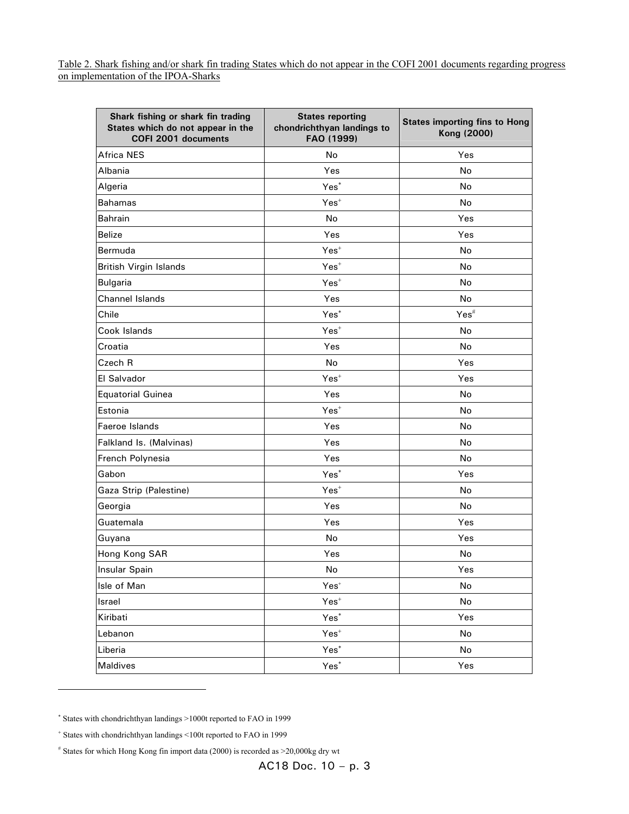Table 2. Shark fishing and/or shark fin trading States which do not appear in the COFI 2001 documents regarding progress on implementation of the IPOA-Sharks

| Shark fishing or shark fin trading<br>States which do not appear in the<br>COFI 2001 documents | <b>States reporting</b><br>chondrichthyan landings to<br>FAO (1999) | <b>States importing fins to Hong</b><br>Kong (2000) |
|------------------------------------------------------------------------------------------------|---------------------------------------------------------------------|-----------------------------------------------------|
| <b>Africa NES</b>                                                                              | No                                                                  | Yes                                                 |
| Albania                                                                                        | Yes                                                                 | <b>No</b>                                           |
| Algeria                                                                                        | Yes <sup>*</sup>                                                    | No                                                  |
| Bahamas                                                                                        | $Yes+$                                                              | <b>No</b>                                           |
| Bahrain                                                                                        | No                                                                  | Yes                                                 |
| <b>Belize</b>                                                                                  | Yes                                                                 | Yes                                                 |
| Bermuda                                                                                        | $Yes+$                                                              | No                                                  |
| <b>British Virgin Islands</b>                                                                  | $Yes+$                                                              | <b>No</b>                                           |
| <b>Bulgaria</b>                                                                                | $Yes+$                                                              | <b>No</b>                                           |
| <b>Channel Islands</b>                                                                         | Yes                                                                 | No                                                  |
| Chile                                                                                          | Yes <sup>*</sup>                                                    | $Yes$ <sup>#</sup>                                  |
| Cook Islands                                                                                   | $Yes+$                                                              | No                                                  |
| Croatia                                                                                        | Yes                                                                 | No                                                  |
| Czech R                                                                                        | No                                                                  | Yes                                                 |
| El Salvador                                                                                    | $Yes+$                                                              | Yes                                                 |
| Equatorial Guinea                                                                              | Yes                                                                 | <b>No</b>                                           |
| Estonia                                                                                        | $Yes+$                                                              | No                                                  |
| Faeroe Islands                                                                                 | Yes                                                                 | No                                                  |
| Falkland Is. (Malvinas)                                                                        | Yes                                                                 | No                                                  |
| French Polynesia                                                                               | Yes                                                                 | No                                                  |
| Gabon                                                                                          | Yes <sup>*</sup>                                                    | Yes                                                 |
| Gaza Strip (Palestine)                                                                         | $Yes+$                                                              | No                                                  |
| Georgia                                                                                        | Yes                                                                 | No                                                  |
| Guatemala                                                                                      | Yes                                                                 | Yes                                                 |
| Guyana                                                                                         | No                                                                  | Yes                                                 |
| Hong Kong SAR                                                                                  | Yes                                                                 | No                                                  |
| Insular Spain                                                                                  | No                                                                  | Yes                                                 |
| Isle of Man                                                                                    | $Yes+$                                                              | No                                                  |
| Israel                                                                                         | $Yes+$                                                              | No                                                  |
| Kiribati                                                                                       | Yes <sup>*</sup>                                                    | Yes                                                 |
| Lebanon                                                                                        | $Yes+$                                                              | No                                                  |
| Liberia                                                                                        | Yes <sup>*</sup>                                                    | No                                                  |
| Maldives                                                                                       | Yes <sup>*</sup>                                                    | Yes                                                 |

∗ States with chondrichthyan landings >1000t reported to FAO in 1999

 $\overline{a}$ 

<sup>+</sup> States with chondrichthyan landings <100t reported to FAO in 1999

<sup>#</sup> States for which Hong Kong fin import data (2000) is recorded as >20,000kg dry wt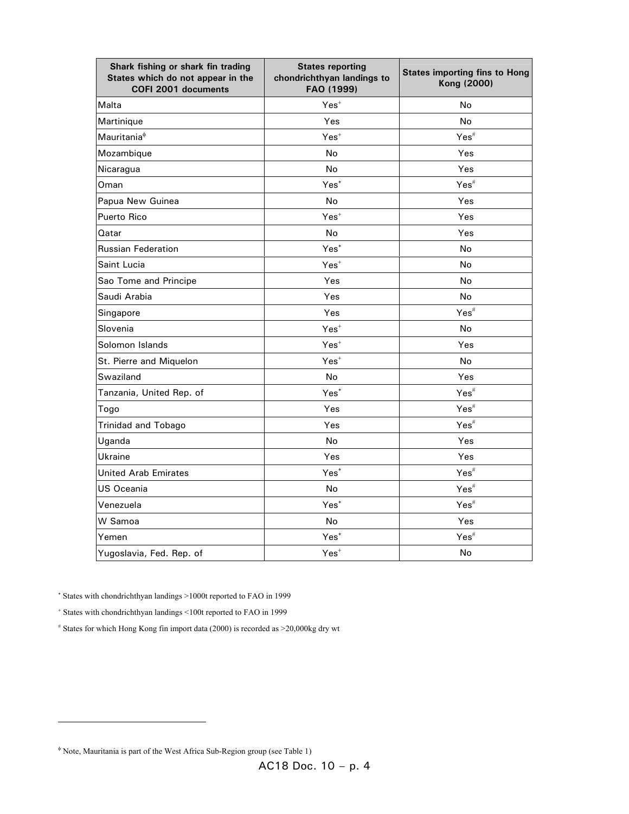| Shark fishing or shark fin trading<br>States which do not appear in the<br>COFI 2001 documents | <b>States reporting</b><br>chondrichthyan landings to<br>FAO (1999) | <b>States importing fins to Hong</b><br>Kong (2000) |
|------------------------------------------------------------------------------------------------|---------------------------------------------------------------------|-----------------------------------------------------|
| Malta                                                                                          | $Yes+$                                                              | <b>No</b>                                           |
| Martinique                                                                                     | Yes                                                                 | No                                                  |
| Mauritania <sup>¢</sup>                                                                        | $Yes+$                                                              | $Yes$ #                                             |
| Mozambique                                                                                     | No                                                                  | Yes                                                 |
| Nicaragua                                                                                      | No                                                                  | Yes                                                 |
| Oman                                                                                           | Yes <sup>*</sup>                                                    | $Yes$ #                                             |
| Papua New Guinea                                                                               | No                                                                  | Yes                                                 |
| Puerto Rico                                                                                    | $Yes+$                                                              | Yes                                                 |
| Qatar                                                                                          | No                                                                  | Yes                                                 |
| <b>Russian Federation</b>                                                                      | Yes <sup>*</sup>                                                    | No                                                  |
| Saint Lucia                                                                                    | $Yes+$                                                              | <b>No</b>                                           |
| Sao Tome and Principe                                                                          | Yes                                                                 | No                                                  |
| Saudi Arabia                                                                                   | Yes                                                                 | <b>No</b>                                           |
| Singapore                                                                                      | Yes                                                                 | $Yes$ <sup>#</sup>                                  |
| Slovenia                                                                                       | $Yes+$                                                              | <b>No</b>                                           |
| Solomon Islands                                                                                | $Yes+$                                                              | Yes                                                 |
| St. Pierre and Miquelon                                                                        | $Yes+$                                                              | No                                                  |
| Swaziland                                                                                      | No                                                                  | Yes                                                 |
| Tanzania, United Rep. of                                                                       | Yes <sup>*</sup>                                                    | $Yes$ <sup>#</sup>                                  |
| Togo                                                                                           | Yes                                                                 | $Yes$ <sup>#</sup>                                  |
| <b>Trinidad and Tobago</b>                                                                     | Yes                                                                 | $Yes$ <sup>#</sup>                                  |
| Uganda                                                                                         | <b>No</b>                                                           | Yes                                                 |
| Ukraine                                                                                        | Yes                                                                 | Yes                                                 |
| <b>United Arab Emirates</b>                                                                    | Yes <sup>*</sup>                                                    | $Yes$ <sup>#</sup>                                  |
| US Oceania                                                                                     | No                                                                  | $Yes$ <sup>#</sup>                                  |
| Venezuela                                                                                      | Yes <sup>*</sup>                                                    | $Yes$ <sup>#</sup>                                  |
| W Samoa                                                                                        | No                                                                  | Yes                                                 |
| Yemen                                                                                          | Yes*                                                                | $Yes$ <sup>#</sup>                                  |
| Yugoslavia, Fed. Rep. of                                                                       | $Yes+$                                                              | No                                                  |

∗ States with chondrichthyan landings >1000t reported to FAO in 1999

+ States with chondrichthyan landings <100t reported to FAO in 1999

# States for which Hong Kong fin import data (2000) is recorded as >20,000kg dry wt

φ Note, Mauritania is part of the West Africa Sub-Region group (see Table 1)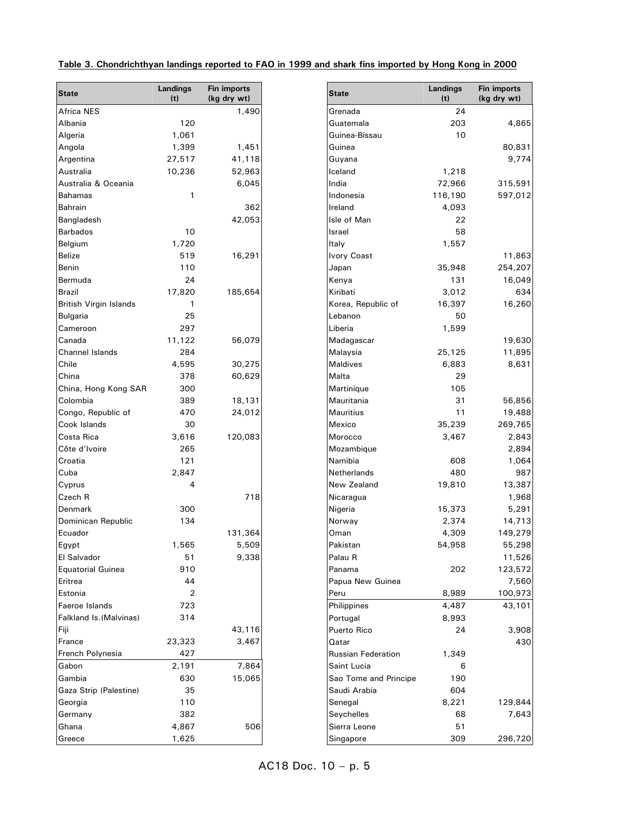| Table 3. Chondrichthyan landings reported to FAO in 1999 and shark fins imported by Hong Kong in 2000 |  |  |  |  |  |  |
|-------------------------------------------------------------------------------------------------------|--|--|--|--|--|--|
|-------------------------------------------------------------------------------------------------------|--|--|--|--|--|--|

| <b>State</b>             | <b>Landings</b><br>(t) | <b>Fin imports</b><br>(kg dry wt) |
|--------------------------|------------------------|-----------------------------------|
| <b>Africa NES</b>        |                        | 1,490                             |
| Albania                  | 120                    |                                   |
| Algeria                  | 1,061                  |                                   |
| Angola                   | 1,399                  | 1,451                             |
| Argentina                | 27,517                 | 41,118                            |
| Australia                | 10,236                 | 52,963                            |
| Australia & Oceania      |                        | 6,045                             |
|                          |                        |                                   |
| <b>Bahamas</b>           | 1                      |                                   |
| <b>Bahrain</b>           |                        | 362                               |
| Bangladesh               |                        | 42,053                            |
| <b>Barbados</b>          | 10                     |                                   |
| Belgium                  | 1,720                  |                                   |
| Belize                   | 519                    | 16,291                            |
| Benin                    | 110                    |                                   |
| Bermuda                  | 24                     |                                   |
| <b>Brazil</b>            | 17,820                 | 185,654                           |
| British Virgin Islands   | 1                      |                                   |
| Bulgaria                 | 25                     |                                   |
| Cameroon                 | 297                    |                                   |
| Canada                   | 11,122                 | 56,079                            |
| Channel Islands          | 284                    |                                   |
| Chile                    | 4,595                  | 30,275                            |
| China                    | 378                    | 60,629                            |
|                          | 300                    |                                   |
| China, Hong Kong SAR     |                        |                                   |
| Colombia                 | 389                    | 18,131                            |
| Congo, Republic of       | 470                    | 24,012                            |
| Cook Islands             | 30                     |                                   |
| Costa Rica               | 3,616                  | 120,083                           |
| Côte d'Ivoire            | 265                    |                                   |
| Croatia                  | 121                    |                                   |
| Cuba                     | 2,847                  |                                   |
| Cyprus                   | 4                      |                                   |
| Czech R                  |                        | 718                               |
| Denmark                  | 300                    |                                   |
| Dominican Republic       | 134                    |                                   |
| Ecuador                  |                        | 131,364                           |
| Egypt                    | 1,565                  | 5,509                             |
| El Salvador              | 51                     | 9,338                             |
| <b>Equatorial Guinea</b> | 910                    |                                   |
|                          |                        |                                   |
| Eritrea                  | 44                     |                                   |
| Estonia                  | 2                      |                                   |
| Faeroe Islands           | 723                    |                                   |
| Falkland Is. (Malvinas)  | 314                    |                                   |
| Fiji                     |                        | 43,116                            |
| France                   | 23,323                 | 3,467                             |
| French Polynesia         | 427                    |                                   |
| Gabon                    | 2,191                  | 7,864                             |
| Gambia                   | 630                    | 15,065                            |
| Gaza Strip (Palestine)   | 35                     |                                   |
| Georgia                  | 110                    |                                   |
| Germany                  | 382                    |                                   |
| Ghana                    | 4,867                  | 506                               |
|                          | 1,625                  |                                   |
| Greece                   |                        |                                   |